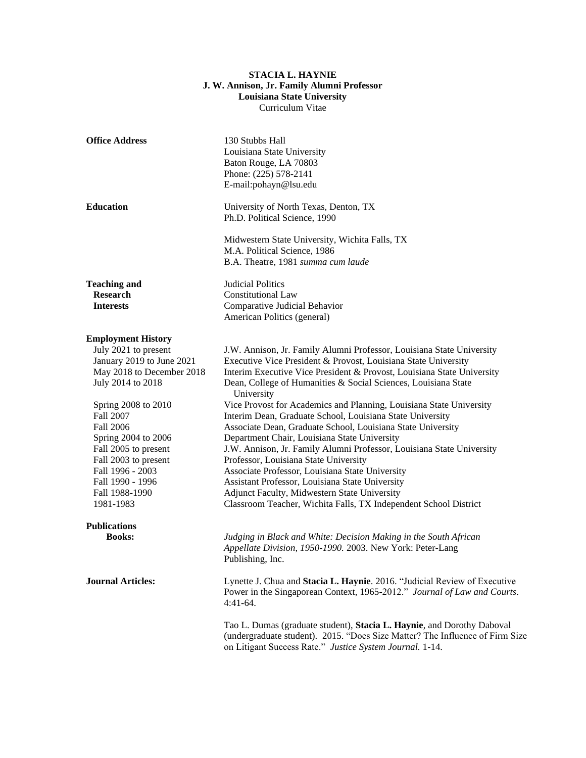## **STACIA L. HAYNIE J. W. Annison, Jr. Family Alumni Professor Louisiana State University** Curriculum Vitae

| <b>Office Address</b>                                                                                                                                                                                                                                                                                                                  | 130 Stubbs Hall<br>Louisiana State University<br>Baton Rouge, LA 70803<br>Phone: (225) 578-2141<br>E-mail:pohayn@lsu.edu                                                                                                                                                                                                                                                                                                                                                                                                                                                                                                                                                                                                                                                                                                                                                                         |
|----------------------------------------------------------------------------------------------------------------------------------------------------------------------------------------------------------------------------------------------------------------------------------------------------------------------------------------|--------------------------------------------------------------------------------------------------------------------------------------------------------------------------------------------------------------------------------------------------------------------------------------------------------------------------------------------------------------------------------------------------------------------------------------------------------------------------------------------------------------------------------------------------------------------------------------------------------------------------------------------------------------------------------------------------------------------------------------------------------------------------------------------------------------------------------------------------------------------------------------------------|
| <b>Education</b>                                                                                                                                                                                                                                                                                                                       | University of North Texas, Denton, TX<br>Ph.D. Political Science, 1990                                                                                                                                                                                                                                                                                                                                                                                                                                                                                                                                                                                                                                                                                                                                                                                                                           |
|                                                                                                                                                                                                                                                                                                                                        | Midwestern State University, Wichita Falls, TX<br>M.A. Political Science, 1986<br>B.A. Theatre, 1981 summa cum laude                                                                                                                                                                                                                                                                                                                                                                                                                                                                                                                                                                                                                                                                                                                                                                             |
| <b>Teaching and</b><br><b>Research</b><br><b>Interests</b>                                                                                                                                                                                                                                                                             | <b>Judicial Politics</b><br><b>Constitutional Law</b><br>Comparative Judicial Behavior<br>American Politics (general)                                                                                                                                                                                                                                                                                                                                                                                                                                                                                                                                                                                                                                                                                                                                                                            |
| <b>Employment History</b><br>July 2021 to present<br>January 2019 to June 2021<br>May 2018 to December 2018<br>July 2014 to 2018<br>Spring 2008 to 2010<br>Fall 2007<br><b>Fall 2006</b><br>Spring 2004 to 2006<br>Fall 2005 to present<br>Fall 2003 to present<br>Fall 1996 - 2003<br>Fall 1990 - 1996<br>Fall 1988-1990<br>1981-1983 | J.W. Annison, Jr. Family Alumni Professor, Louisiana State University<br>Executive Vice President & Provost, Louisiana State University<br>Interim Executive Vice President & Provost, Louisiana State University<br>Dean, College of Humanities & Social Sciences, Louisiana State<br>University<br>Vice Provost for Academics and Planning, Louisiana State University<br>Interim Dean, Graduate School, Louisiana State University<br>Associate Dean, Graduate School, Louisiana State University<br>Department Chair, Louisiana State University<br>J.W. Annison, Jr. Family Alumni Professor, Louisiana State University<br>Professor, Louisiana State University<br>Associate Professor, Louisiana State University<br>Assistant Professor, Louisiana State University<br>Adjunct Faculty, Midwestern State University<br>Classroom Teacher, Wichita Falls, TX Independent School District |
| <b>Publications</b>                                                                                                                                                                                                                                                                                                                    |                                                                                                                                                                                                                                                                                                                                                                                                                                                                                                                                                                                                                                                                                                                                                                                                                                                                                                  |
| <b>Books:</b>                                                                                                                                                                                                                                                                                                                          | Judging in Black and White: Decision Making in the South African<br>Appellate Division, 1950-1990. 2003. New York: Peter-Lang<br>Publishing, Inc.                                                                                                                                                                                                                                                                                                                                                                                                                                                                                                                                                                                                                                                                                                                                                |
| <b>Journal Articles:</b>                                                                                                                                                                                                                                                                                                               | Lynette J. Chua and Stacia L. Haynie. 2016. "Judicial Review of Executive<br>Power in the Singaporean Context, 1965-2012." Journal of Law and Courts.<br>$4:41-64.$                                                                                                                                                                                                                                                                                                                                                                                                                                                                                                                                                                                                                                                                                                                              |
|                                                                                                                                                                                                                                                                                                                                        | Tao L. Dumas (graduate student), Stacia L. Haynie, and Dorothy Daboval<br>(undergraduate student). 2015. "Does Size Matter? The Influence of Firm Size<br>on Litigant Success Rate." Justice System Journal. 1-14.                                                                                                                                                                                                                                                                                                                                                                                                                                                                                                                                                                                                                                                                               |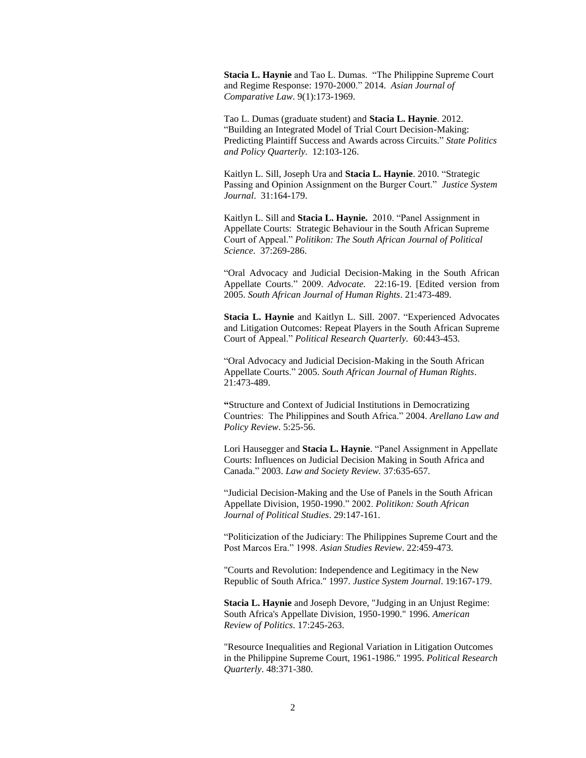**Stacia L. Haynie** and Tao L. Dumas. "The Philippine Supreme Court and Regime Response: 1970-2000." 2014. *Asian Journal of Comparative Law*. 9(1):173-1969.

Tao L. Dumas (graduate student) and **Stacia L. Haynie**. 2012. "Building an Integrated Model of Trial Court Decision-Making: Predicting Plaintiff Success and Awards across Circuits." *State Politics and Policy Quarterly*. 12:103-126.

Kaitlyn L. Sill, Joseph Ura and **Stacia L. Haynie**. 2010. "Strategic Passing and Opinion Assignment on the Burger Court." *Justice System Journal*. 31:164-179.

Kaitlyn L. Sill and **Stacia L. Haynie.** 2010. "Panel Assignment in Appellate Courts: Strategic Behaviour in the South African Supreme Court of Appeal." *Politikon: The South African Journal of Political Science*. 37:269-286.

"Oral Advocacy and Judicial Decision-Making in the South African Appellate Courts." 2009. *Advocate.* 22:16-19. [Edited version from 2005. *South African Journal of Human Rights*. 21:473-489.

**Stacia L. Haynie** and Kaitlyn L. Sill. 2007. "Experienced Advocates and Litigation Outcomes: Repeat Players in the South African Supreme Court of Appeal." *Political Research Quarterly.* 60:443-453.

"Oral Advocacy and Judicial Decision-Making in the South African Appellate Courts." 2005. *South African Journal of Human Rights*. 21:473-489.

**"**Structure and Context of Judicial Institutions in Democratizing Countries: The Philippines and South Africa." 2004. *Arellano Law and Policy Review*. 5:25-56.

Lori Hausegger and **Stacia L. Haynie**. "Panel Assignment in Appellate Courts: Influences on Judicial Decision Making in South Africa and Canada." 2003. *Law and Society Review.* 37:635-657.

"Judicial Decision-Making and the Use of Panels in the South African Appellate Division, 1950-1990." 2002. *Politikon: South African Journal of Political Studies*. 29:147-161.

"Politicization of the Judiciary: The Philippines Supreme Court and the Post Marcos Era." 1998. *Asian Studies Review*. 22:459-473.

"Courts and Revolution: Independence and Legitimacy in the New Republic of South Africa." 1997. *Justice System Journal*. 19:167-179.

**Stacia L. Haynie** and Joseph Devore, "Judging in an Unjust Regime: South Africa's Appellate Division, 1950-1990." 1996. *American Review of Politics*. 17:245-263.

"Resource Inequalities and Regional Variation in Litigation Outcomes in the Philippine Supreme Court, 1961-1986." 1995. *Political Research Quarterly*. 48:371-380.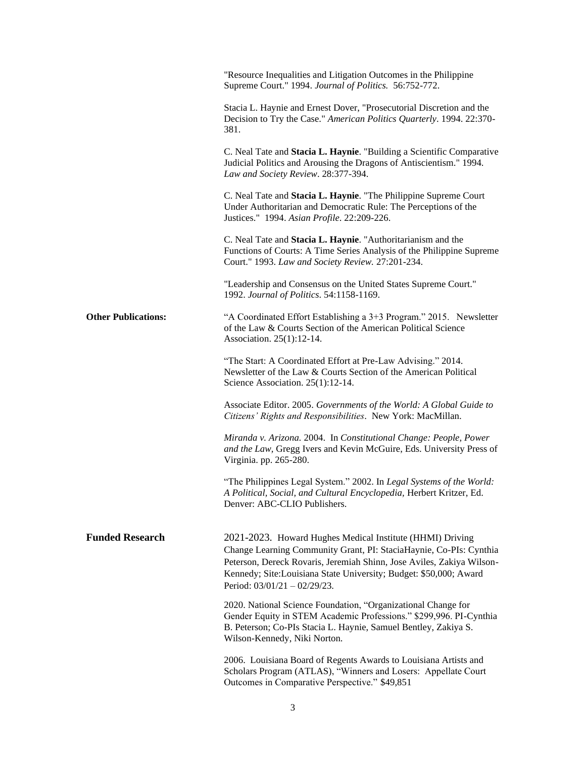|                            | "Resource Inequalities and Litigation Outcomes in the Philippine<br>Supreme Court." 1994. Journal of Politics. 56:752-772.                                                                                                                                                                                    |
|----------------------------|---------------------------------------------------------------------------------------------------------------------------------------------------------------------------------------------------------------------------------------------------------------------------------------------------------------|
|                            | Stacia L. Haynie and Ernest Dover, "Prosecutorial Discretion and the<br>Decision to Try the Case." American Politics Quarterly. 1994. 22:370-<br>381.                                                                                                                                                         |
|                            | C. Neal Tate and Stacia L. Haynie. "Building a Scientific Comparative<br>Judicial Politics and Arousing the Dragons of Antiscientism." 1994.<br>Law and Society Review. 28:377-394.                                                                                                                           |
|                            | C. Neal Tate and Stacia L. Haynie. "The Philippine Supreme Court<br>Under Authoritarian and Democratic Rule: The Perceptions of the<br>Justices." 1994. Asian Profile. 22:209-226.                                                                                                                            |
|                            | C. Neal Tate and Stacia L. Haynie. "Authoritarianism and the<br>Functions of Courts: A Time Series Analysis of the Philippine Supreme<br>Court." 1993. Law and Society Review. 27:201-234.                                                                                                                    |
|                            | "Leadership and Consensus on the United States Supreme Court."<br>1992. Journal of Politics. 54:1158-1169.                                                                                                                                                                                                    |
| <b>Other Publications:</b> | "A Coordinated Effort Establishing a 3+3 Program." 2015. Newsletter<br>of the Law & Courts Section of the American Political Science<br>Association. 25(1):12-14.                                                                                                                                             |
|                            | "The Start: A Coordinated Effort at Pre-Law Advising." 2014.<br>Newsletter of the Law & Courts Section of the American Political<br>Science Association. 25(1):12-14.                                                                                                                                         |
|                            | Associate Editor. 2005. Governments of the World: A Global Guide to<br>Citizens' Rights and Responsibilities. New York: MacMillan.                                                                                                                                                                            |
|                            | Miranda v. Arizona. 2004. In Constitutional Change: People, Power<br>and the Law, Gregg Ivers and Kevin McGuire, Eds. University Press of<br>Virginia. pp. 265-280.                                                                                                                                           |
|                            | "The Philippines Legal System." 2002. In Legal Systems of the World:<br>A Political, Social, and Cultural Encyclopedia, Herbert Kritzer, Ed.<br>Denver: ABC-CLIO Publishers.                                                                                                                                  |
| <b>Funded Research</b>     | 2021-2023. Howard Hughes Medical Institute (HHMI) Driving<br>Change Learning Community Grant, PI: StaciaHaynie, Co-PIs: Cynthia<br>Peterson, Dereck Rovaris, Jeremiah Shinn, Jose Aviles, Zakiya Wilson-<br>Kennedy; Site:Louisiana State University; Budget: \$50,000; Award<br>Period: 03/01/21 - 02/29/23. |
|                            | 2020. National Science Foundation, "Organizational Change for<br>Gender Equity in STEM Academic Professions." \$299,996. PI-Cynthia<br>B. Peterson; Co-PIs Stacia L. Haynie, Samuel Bentley, Zakiya S.<br>Wilson-Kennedy, Niki Norton.                                                                        |
|                            | 2006. Louisiana Board of Regents Awards to Louisiana Artists and<br>Scholars Program (ATLAS), "Winners and Losers: Appellate Court<br>Outcomes in Comparative Perspective." \$49,851                                                                                                                          |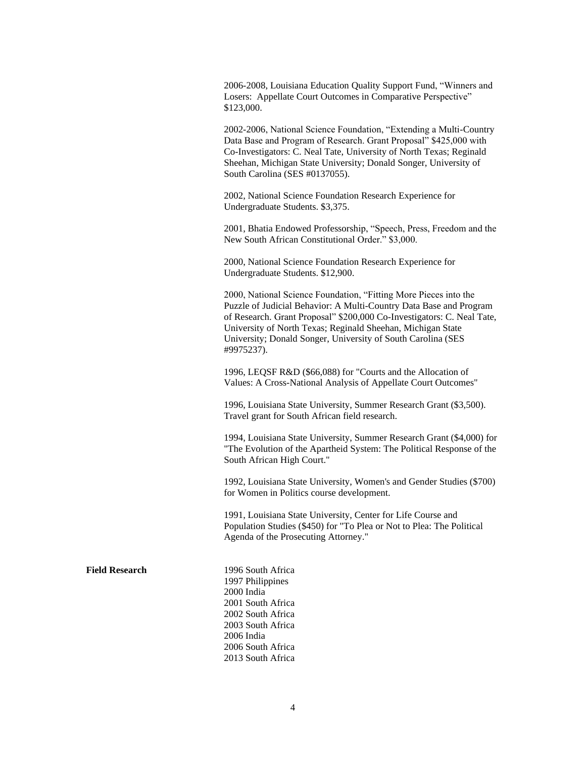2006-2008, Louisiana Education Quality Support Fund, "Winners and Losers: Appellate Court Outcomes in Comparative Perspective" \$123,000.

2002-2006, National Science Foundation, "Extending a Multi-Country Data Base and Program of Research. Grant Proposal" \$425,000 with Co-Investigators: C. Neal Tate, University of North Texas; Reginald Sheehan, Michigan State University; Donald Songer, University of South Carolina (SES #0137055).

2002, National Science Foundation Research Experience for Undergraduate Students. \$3,375.

2001, Bhatia Endowed Professorship, "Speech, Press, Freedom and the New South African Constitutional Order." \$3,000.

2000, National Science Foundation Research Experience for Undergraduate Students. \$12,900.

2000, National Science Foundation, "Fitting More Pieces into the Puzzle of Judicial Behavior: A Multi-Country Data Base and Program of Research. Grant Proposal" \$200,000 Co-Investigators: C. Neal Tate, University of North Texas; Reginald Sheehan, Michigan State University; Donald Songer, University of South Carolina (SES #9975237).

1996, LEQSF R&D (\$66,088) for "Courts and the Allocation of Values: A Cross-National Analysis of Appellate Court Outcomes"

1996, Louisiana State University, Summer Research Grant (\$3,500). Travel grant for South African field research.

1994, Louisiana State University, Summer Research Grant (\$4,000) for "The Evolution of the Apartheid System: The Political Response of the South African High Court."

1992, Louisiana State University, Women's and Gender Studies (\$700) for Women in Politics course development.

1991, Louisiana State University, Center for Life Course and Population Studies (\$450) for "To Plea or Not to Plea: The Political Agenda of the Prosecuting Attorney."

**Field Research** 1996 South Africa 1997 Philippines 2000 India 2001 South Africa 2002 South Africa 2003 South Africa 2006 India 2006 South Africa 2013 South Africa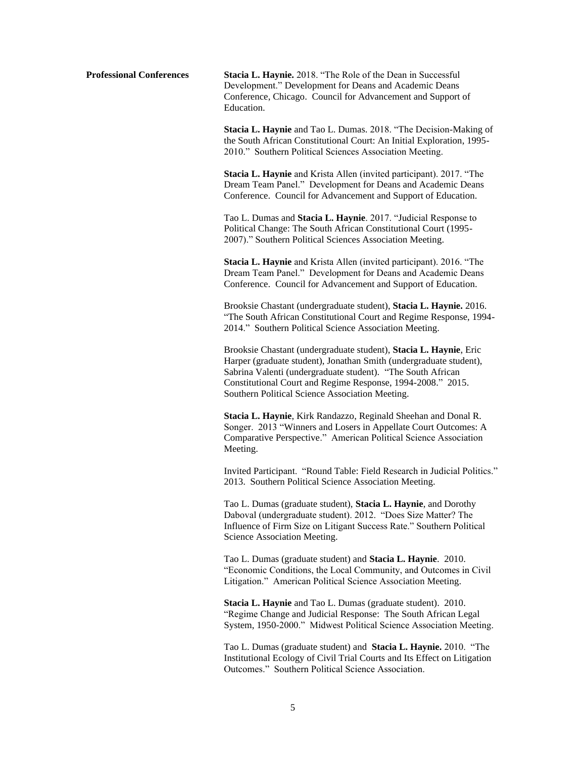**Professional Conferences Stacia L. Haynie.** 2018. "The Role of the Dean in Successful Development." Development for Deans and Academic Deans Conference, Chicago. Council for Advancement and Support of Education.

> **Stacia L. Haynie** and Tao L. Dumas. 2018. "The Decision-Making of the South African Constitutional Court: An Initial Exploration, 1995- 2010." Southern Political Sciences Association Meeting.

**Stacia L. Haynie** and Krista Allen (invited participant). 2017. "The Dream Team Panel." Development for Deans and Academic Deans Conference. Council for Advancement and Support of Education.

Tao L. Dumas and **Stacia L. Haynie**. 2017. "Judicial Response to Political Change: The South African Constitutional Court (1995- 2007)." Southern Political Sciences Association Meeting.

**Stacia L. Haynie** and Krista Allen (invited participant). 2016. "The Dream Team Panel." Development for Deans and Academic Deans Conference. Council for Advancement and Support of Education.

Brooksie Chastant (undergraduate student), **Stacia L. Haynie.** 2016. "The South African Constitutional Court and Regime Response, 1994- 2014." Southern Political Science Association Meeting.

Brooksie Chastant (undergraduate student), **Stacia L. Haynie**, Eric Harper (graduate student), Jonathan Smith (undergraduate student), Sabrina Valenti (undergraduate student). "The South African Constitutional Court and Regime Response, 1994-2008." 2015. Southern Political Science Association Meeting.

**Stacia L. Haynie**, Kirk Randazzo, Reginald Sheehan and Donal R. Songer. 2013 "Winners and Losers in Appellate Court Outcomes: A Comparative Perspective." American Political Science Association Meeting.

Invited Participant. "Round Table: Field Research in Judicial Politics." 2013. Southern Political Science Association Meeting.

Tao L. Dumas (graduate student), **Stacia L. Haynie**, and Dorothy Daboval (undergraduate student). 2012. "Does Size Matter? The Influence of Firm Size on Litigant Success Rate." Southern Political Science Association Meeting.

Tao L. Dumas (graduate student) and **Stacia L. Haynie**. 2010. "Economic Conditions, the Local Community, and Outcomes in Civil Litigation." American Political Science Association Meeting.

**Stacia L. Haynie** and Tao L. Dumas (graduate student). 2010. "Regime Change and Judicial Response: The South African Legal System, 1950-2000." Midwest Political Science Association Meeting.

Tao L. Dumas (graduate student) and **Stacia L. Haynie.** 2010. "The Institutional Ecology of Civil Trial Courts and Its Effect on Litigation Outcomes." Southern Political Science Association.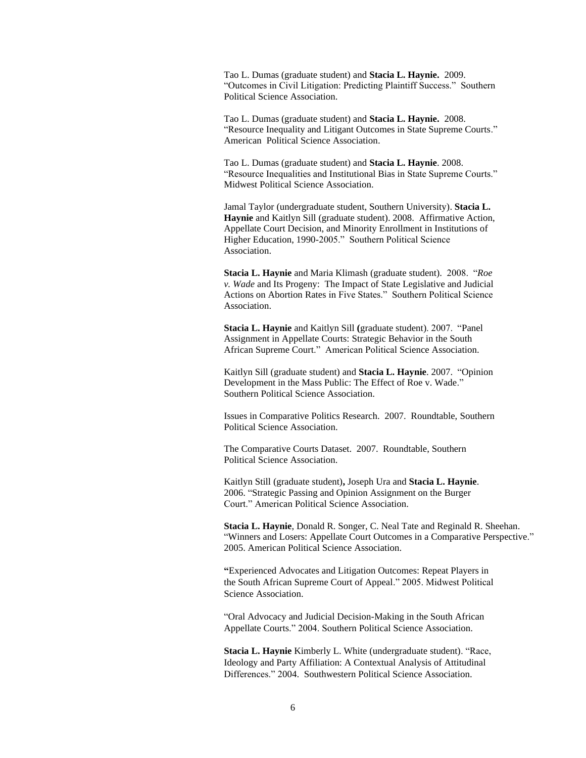Tao L. Dumas (graduate student) and **Stacia L. Haynie.** 2009. "Outcomes in Civil Litigation: Predicting Plaintiff Success." Southern Political Science Association.

Tao L. Dumas (graduate student) and **Stacia L. Haynie.** 2008. "Resource Inequality and Litigant Outcomes in State Supreme Courts." American Political Science Association.

Tao L. Dumas (graduate student) and **Stacia L. Haynie**. 2008. "Resource Inequalities and Institutional Bias in State Supreme Courts." Midwest Political Science Association.

Jamal Taylor (undergraduate student, Southern University). **Stacia L. Haynie** and Kaitlyn Sill (graduate student). 2008. Affirmative Action, Appellate Court Decision, and Minority Enrollment in Institutions of Higher Education, 1990-2005." Southern Political Science Association.

**Stacia L. Haynie** and Maria Klimash (graduate student).2008. "*Roe v. Wade* and Its Progeny: The Impact of State Legislative and Judicial Actions on Abortion Rates in Five States." Southern Political Science Association.

**Stacia L. Haynie** and Kaitlyn Sill **(**graduate student). 2007. "Panel Assignment in Appellate Courts: Strategic Behavior in the South African Supreme Court." American Political Science Association.

Kaitlyn Sill (graduate student) and **Stacia L. Haynie**. 2007. "Opinion Development in the Mass Public: The Effect of Roe v. Wade." Southern Political Science Association.

Issues in Comparative Politics Research. 2007. Roundtable, Southern Political Science Association.

The Comparative Courts Dataset. 2007. Roundtable, Southern Political Science Association.

Kaitlyn Still (graduate student)**,** Joseph Ura and **Stacia L. Haynie**. 2006. "Strategic Passing and Opinion Assignment on the Burger Court." American Political Science Association.

**Stacia L. Haynie**, Donald R. Songer, C. Neal Tate and Reginald R. Sheehan. "Winners and Losers: Appellate Court Outcomes in a Comparative Perspective." 2005. American Political Science Association.

**"**Experienced Advocates and Litigation Outcomes: Repeat Players in the South African Supreme Court of Appeal." 2005. Midwest Political Science Association.

"Oral Advocacy and Judicial Decision-Making in the South African Appellate Courts." 2004. Southern Political Science Association.

**Stacia L. Haynie** Kimberly L. White (undergraduate student). "Race, Ideology and Party Affiliation: A Contextual Analysis of Attitudinal Differences." 2004. Southwestern Political Science Association.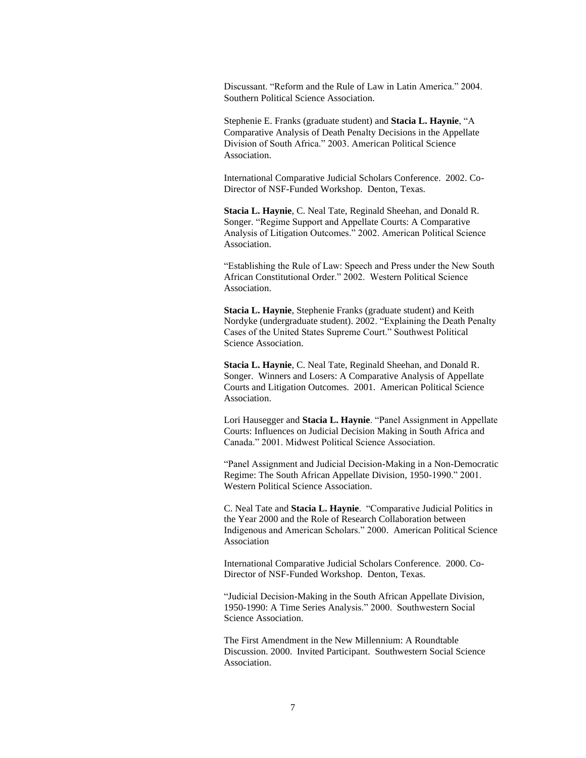Discussant. "Reform and the Rule of Law in Latin America." 2004. Southern Political Science Association.

Stephenie E. Franks (graduate student) and **Stacia L. Haynie**, "A Comparative Analysis of Death Penalty Decisions in the Appellate Division of South Africa." 2003. American Political Science Association.

International Comparative Judicial Scholars Conference. 2002. Co-Director of NSF-Funded Workshop. Denton, Texas.

 **Stacia L. Haynie**, C. Neal Tate, Reginald Sheehan, and Donald R. Songer. "Regime Support and Appellate Courts: A Comparative Analysis of Litigation Outcomes." 2002. American Political Science Association.

"Establishing the Rule of Law: Speech and Press under the New South African Constitutional Order." 2002. Western Political Science Association.

**Stacia L. Haynie**, Stephenie Franks (graduate student) and Keith Nordyke (undergraduate student). 2002. "Explaining the Death Penalty Cases of the United States Supreme Court." Southwest Political Science Association.

**Stacia L. Haynie**, C. Neal Tate, Reginald Sheehan, and Donald R. Songer. Winners and Losers: A Comparative Analysis of Appellate Courts and Litigation Outcomes. 2001. American Political Science Association.

Lori Hausegger and **Stacia L. Haynie**. "Panel Assignment in Appellate Courts: Influences on Judicial Decision Making in South Africa and Canada." 2001. Midwest Political Science Association.

"Panel Assignment and Judicial Decision-Making in a Non-Democratic Regime: The South African Appellate Division, 1950-1990." 2001. Western Political Science Association.

C. Neal Tate and **Stacia L. Haynie**. "Comparative Judicial Politics in the Year 2000 and the Role of Research Collaboration between Indigenous and American Scholars." 2000. American Political Science Association

International Comparative Judicial Scholars Conference. 2000. Co-Director of NSF-Funded Workshop. Denton, Texas.

"Judicial Decision-Making in the South African Appellate Division, 1950-1990: A Time Series Analysis." 2000. Southwestern Social Science Association.

The First Amendment in the New Millennium: A Roundtable Discussion. 2000. Invited Participant. Southwestern Social Science Association.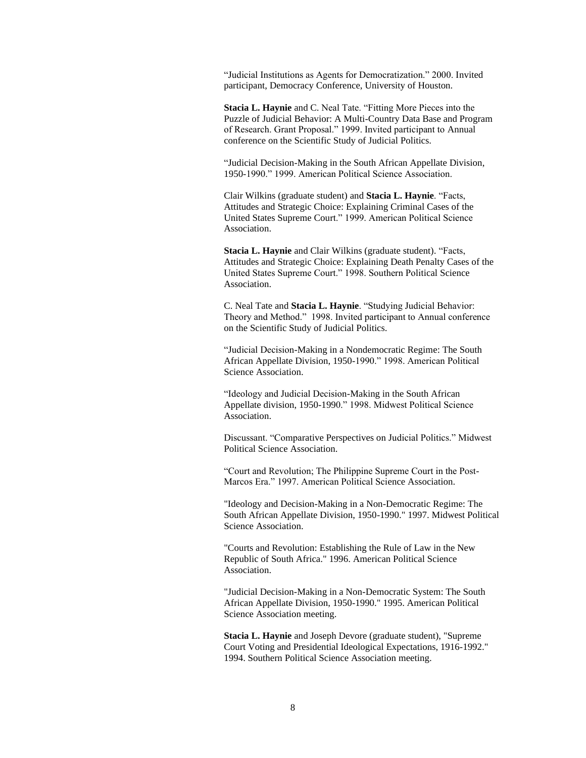"Judicial Institutions as Agents for Democratization." 2000. Invited participant, Democracy Conference, University of Houston.

**Stacia L. Haynie** and C. Neal Tate. "Fitting More Pieces into the Puzzle of Judicial Behavior: A Multi-Country Data Base and Program of Research. Grant Proposal." 1999. Invited participant to Annual conference on the Scientific Study of Judicial Politics.

"Judicial Decision-Making in the South African Appellate Division, 1950-1990." 1999. American Political Science Association.

Clair Wilkins (graduate student) and **Stacia L. Haynie**. "Facts, Attitudes and Strategic Choice: Explaining Criminal Cases of the United States Supreme Court." 1999. American Political Science Association.

**Stacia L. Haynie** and Clair Wilkins (graduate student). "Facts, Attitudes and Strategic Choice: Explaining Death Penalty Cases of the United States Supreme Court." 1998. Southern Political Science Association.

C. Neal Tate and **Stacia L. Haynie**. "Studying Judicial Behavior: Theory and Method." 1998. Invited participant to Annual conference on the Scientific Study of Judicial Politics.

"Judicial Decision-Making in a Nondemocratic Regime: The South African Appellate Division, 1950-1990." 1998. American Political Science Association.

"Ideology and Judicial Decision-Making in the South African Appellate division, 1950-1990." 1998. Midwest Political Science Association.

Discussant. "Comparative Perspectives on Judicial Politics." Midwest Political Science Association.

"Court and Revolution; The Philippine Supreme Court in the Post-Marcos Era." 1997. American Political Science Association.

"Ideology and Decision-Making in a Non-Democratic Regime: The South African Appellate Division, 1950-1990." 1997. Midwest Political Science Association.

"Courts and Revolution: Establishing the Rule of Law in the New Republic of South Africa." 1996. American Political Science Association.

"Judicial Decision-Making in a Non-Democratic System: The South African Appellate Division, 1950-1990." 1995. American Political Science Association meeting.

**Stacia L. Haynie** and Joseph Devore (graduate student), "Supreme Court Voting and Presidential Ideological Expectations, 1916-1992." 1994. Southern Political Science Association meeting.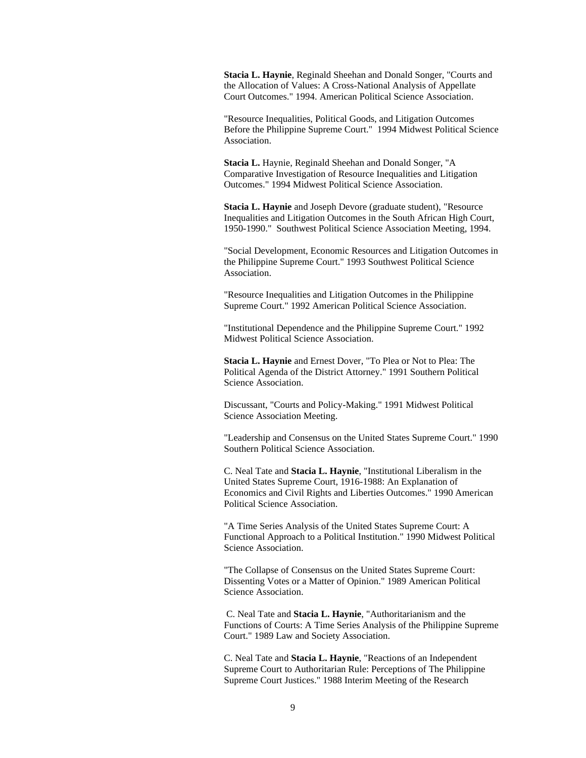**Stacia L. Haynie**, Reginald Sheehan and Donald Songer, "Courts and the Allocation of Values: A Cross-National Analysis of Appellate Court Outcomes." 1994. American Political Science Association.

"Resource Inequalities, Political Goods, and Litigation Outcomes Before the Philippine Supreme Court." 1994 Midwest Political Science Association.

**Stacia L.** Haynie, Reginald Sheehan and Donald Songer, "A Comparative Investigation of Resource Inequalities and Litigation Outcomes." 1994 Midwest Political Science Association.

**Stacia L. Haynie** and Joseph Devore (graduate student), "Resource Inequalities and Litigation Outcomes in the South African High Court, 1950-1990." Southwest Political Science Association Meeting, 1994.

"Social Development, Economic Resources and Litigation Outcomes in the Philippine Supreme Court." 1993 Southwest Political Science Association.

"Resource Inequalities and Litigation Outcomes in the Philippine Supreme Court." 1992 American Political Science Association.

"Institutional Dependence and the Philippine Supreme Court." 1992 Midwest Political Science Association.

**Stacia L. Haynie** and Ernest Dover, "To Plea or Not to Plea: The Political Agenda of the District Attorney." 1991 Southern Political Science Association.

Discussant, "Courts and Policy-Making." 1991 Midwest Political Science Association Meeting.

"Leadership and Consensus on the United States Supreme Court." 1990 Southern Political Science Association.

C. Neal Tate and **Stacia L. Haynie**, "Institutional Liberalism in the United States Supreme Court, 1916-1988: An Explanation of Economics and Civil Rights and Liberties Outcomes." 1990 American Political Science Association.

"A Time Series Analysis of the United States Supreme Court: A Functional Approach to a Political Institution." 1990 Midwest Political Science Association.

"The Collapse of Consensus on the United States Supreme Court: Dissenting Votes or a Matter of Opinion." 1989 American Political Science Association.

C. Neal Tate and **Stacia L. Haynie**, "Authoritarianism and the Functions of Courts: A Time Series Analysis of the Philippine Supreme Court." 1989 Law and Society Association.

C. Neal Tate and **Stacia L. Haynie**, "Reactions of an Independent Supreme Court to Authoritarian Rule: Perceptions of The Philippine Supreme Court Justices." 1988 Interim Meeting of the Research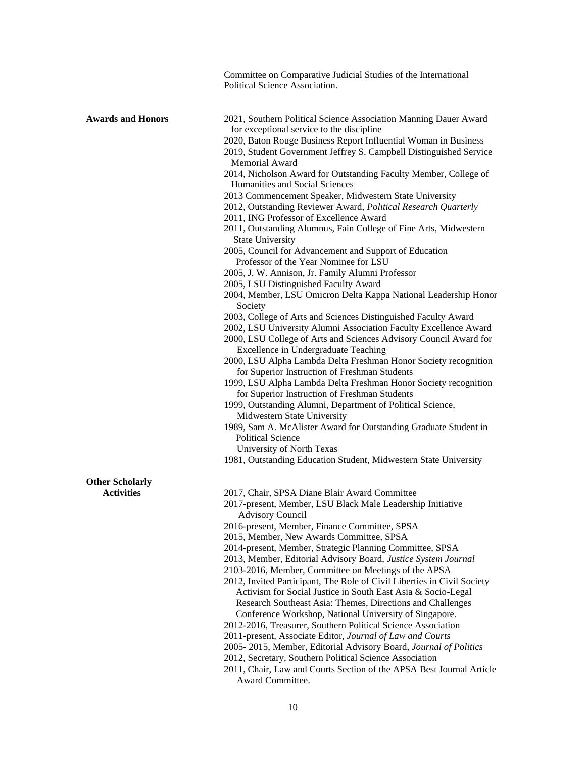|                                             | Committee on Comparative Judicial Studies of the International<br>Political Science Association.                                                                                 |
|---------------------------------------------|----------------------------------------------------------------------------------------------------------------------------------------------------------------------------------|
| <b>Awards and Honors</b>                    | 2021, Southern Political Science Association Manning Dauer Award<br>for exceptional service to the discipline<br>2020, Baton Rouge Business Report Influential Woman in Business |
|                                             | 2019, Student Government Jeffrey S. Campbell Distinguished Service<br>Memorial Award                                                                                             |
|                                             | 2014, Nicholson Award for Outstanding Faculty Member, College of<br>Humanities and Social Sciences                                                                               |
|                                             | 2013 Commencement Speaker, Midwestern State University<br>2012, Outstanding Reviewer Award, Political Research Quarterly                                                         |
|                                             | 2011, ING Professor of Excellence Award                                                                                                                                          |
|                                             | 2011, Outstanding Alumnus, Fain College of Fine Arts, Midwestern<br><b>State University</b>                                                                                      |
|                                             | 2005, Council for Advancement and Support of Education<br>Professor of the Year Nominee for LSU                                                                                  |
|                                             | 2005, J. W. Annison, Jr. Family Alumni Professor                                                                                                                                 |
|                                             | 2005, LSU Distinguished Faculty Award<br>2004, Member, LSU Omicron Delta Kappa National Leadership Honor<br>Society                                                              |
|                                             | 2003, College of Arts and Sciences Distinguished Faculty Award                                                                                                                   |
|                                             | 2002, LSU University Alumni Association Faculty Excellence Award<br>2000, LSU College of Arts and Sciences Advisory Council Award for<br>Excellence in Undergraduate Teaching    |
|                                             | 2000, LSU Alpha Lambda Delta Freshman Honor Society recognition<br>for Superior Instruction of Freshman Students                                                                 |
|                                             | 1999, LSU Alpha Lambda Delta Freshman Honor Society recognition<br>for Superior Instruction of Freshman Students                                                                 |
|                                             | 1999, Outstanding Alumni, Department of Political Science,<br>Midwestern State University                                                                                        |
|                                             | 1989, Sam A. McAlister Award for Outstanding Graduate Student in<br><b>Political Science</b>                                                                                     |
|                                             | University of North Texas<br>1981, Outstanding Education Student, Midwestern State University                                                                                    |
|                                             |                                                                                                                                                                                  |
| <b>Other Scholarly</b><br><b>Activities</b> | 2017, Chair, SPSA Diane Blair Award Committee                                                                                                                                    |
|                                             | 2017-present, Member, LSU Black Male Leadership Initiative<br><b>Advisory Council</b>                                                                                            |
|                                             | 2016-present, Member, Finance Committee, SPSA                                                                                                                                    |
|                                             | 2015, Member, New Awards Committee, SPSA                                                                                                                                         |
|                                             | 2014-present, Member, Strategic Planning Committee, SPSA<br>2013, Member, Editorial Advisory Board, Justice System Journal                                                       |
|                                             | 2103-2016, Member, Committee on Meetings of the APSA                                                                                                                             |
|                                             | 2012, Invited Participant, The Role of Civil Liberties in Civil Society                                                                                                          |
|                                             | Activism for Social Justice in South East Asia & Socio-Legal<br>Research Southeast Asia: Themes, Directions and Challenges                                                       |

- Conference Workshop, National University of Singapore.
- 2012-2016, Treasurer, Southern Political Science Association
- 2011-present, Associate Editor, *Journal of Law and Courts*
- 2005- 2015, Member, Editorial Advisory Board, *Journal of Politics*
- 2012, Secretary, Southern Political Science Association
- 2011, Chair, Law and Courts Section of the APSA Best Journal Article Award Committee.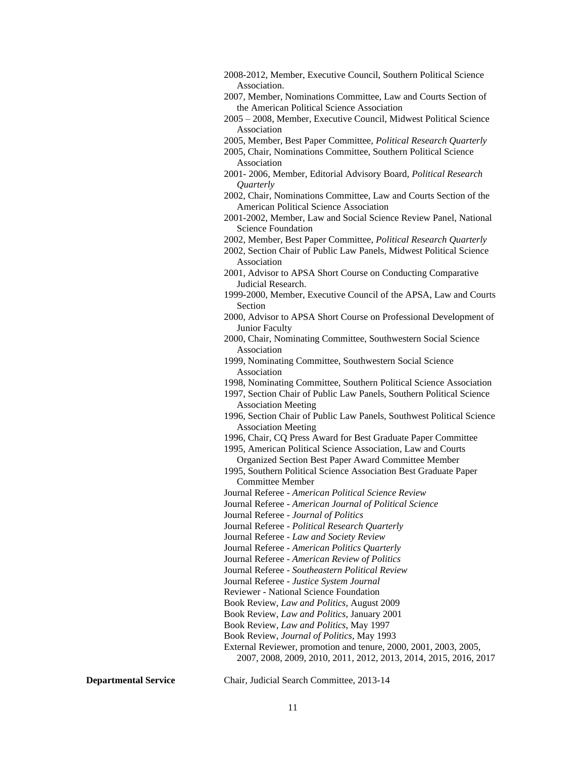- 2008-2012, Member, Executive Council, Southern Political Science Association.
- 2007, Member, Nominations Committee, Law and Courts Section of the American Political Science Association
- 2005 2008, Member, Executive Council, Midwest Political Science Association
- 2005, Member, Best Paper Committee, *Political Research Quarterly*
- 2005, Chair, Nominations Committee, Southern Political Science Association
- 2001- 2006, Member, Editorial Advisory Board, *Political Research Quarterly*
- 2002, Chair, Nominations Committee, Law and Courts Section of the American Political Science Association
- 2001-2002, Member, Law and Social Science Review Panel, National Science Foundation
- 2002, Member, Best Paper Committee, *Political Research Quarterly*
- 2002, Section Chair of Public Law Panels, Midwest Political Science Association
- 2001, Advisor to APSA Short Course on Conducting Comparative Judicial Research.
- 1999-2000, Member, Executive Council of the APSA, Law and Courts Section
- 2000, Advisor to APSA Short Course on Professional Development of Junior Faculty
- 2000, Chair, Nominating Committee, Southwestern Social Science Association
- 1999, Nominating Committee, Southwestern Social Science Association
- 1998, Nominating Committee, Southern Political Science Association
- 1997, Section Chair of Public Law Panels, Southern Political Science Association Meeting
- 1996, Section Chair of Public Law Panels, Southwest Political Science Association Meeting
- 1996, Chair, CQ Press Award for Best Graduate Paper Committee
- 1995, American Political Science Association, Law and Courts Organized Section Best Paper Award Committee Member
- 1995, Southern Political Science Association Best Graduate Paper Committee Member
- Journal Referee *American Political Science Review*
- Journal Referee *American Journal of Political Science*
- Journal Referee *Journal of Politics*
- Journal Referee *Political Research Quarterly*
- Journal Referee *Law and Society Review*
- Journal Referee *American Politics Quarterly*
- Journal Referee *American Review of Politics*
- Journal Referee *Southeastern Political Review*
- Journal Referee *Justice System Journal*
- Reviewer National Science Foundation
- Book Review, *Law and Politics*, August 2009
- Book Review, *Law and Politics*, January 2001
- Book Review, *Law and Politics*, May 1997
- Book Review, *Journal of Politics*, May 1993
- External Reviewer, promotion and tenure, 2000, 2001, 2003, 2005,
	- 2007, 2008, 2009, 2010, 2011, 2012, 2013, 2014, 2015, 2016, 2017

**Departmental Service** Chair, Judicial Search Committee, 2013-14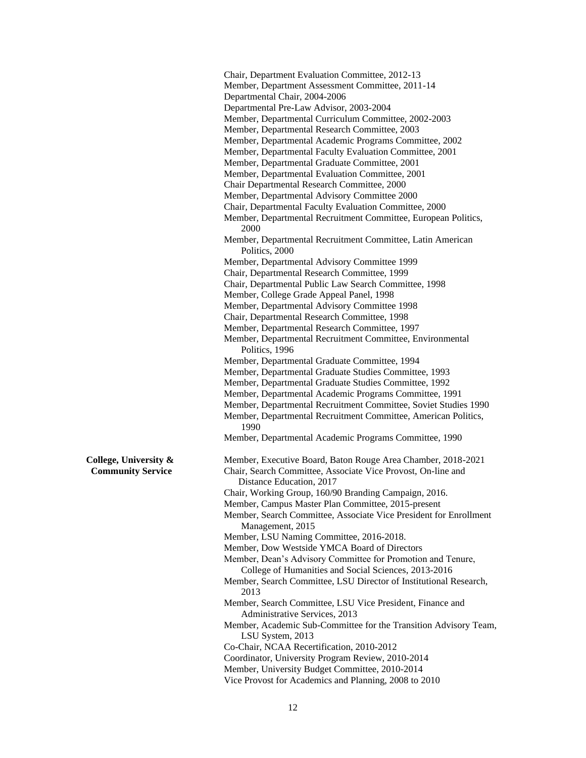Chair, Department Evaluation Committee, 2012-13 Member, Department Assessment Committee, 2011-14 Departmental Chair, 2004-2006 Departmental Pre-Law Advisor, 2003-2004 Member, Departmental Curriculum Committee, 2002-2003 Member, Departmental Research Committee, 2003 Member, Departmental Academic Programs Committee, 2002 Member, Departmental Faculty Evaluation Committee, 2001 Member, Departmental Graduate Committee, 2001 Member, Departmental Evaluation Committee, 2001 Chair Departmental Research Committee, 2000 Member, Departmental Advisory Committee 2000 Chair, Departmental Faculty Evaluation Committee, 2000 Member, Departmental Recruitment Committee, European Politics, 2000 Member, Departmental Recruitment Committee, Latin American Politics, 2000 Member, Departmental Advisory Committee 1999 Chair, Departmental Research Committee, 1999 Chair, Departmental Public Law Search Committee, 1998 Member, College Grade Appeal Panel, 1998 Member, Departmental Advisory Committee 1998 Chair, Departmental Research Committee, 1998 Member, Departmental Research Committee, 1997 Member, Departmental Recruitment Committee, Environmental Politics, 1996 Member, Departmental Graduate Committee, 1994 Member, Departmental Graduate Studies Committee, 1993 Member, Departmental Graduate Studies Committee, 1992 Member, Departmental Academic Programs Committee, 1991 Member, Departmental Recruitment Committee, Soviet Studies 1990 Member, Departmental Recruitment Committee, American Politics, 1990 Member, Departmental Academic Programs Committee, 1990 **College, University &** Member, Executive Board, Baton Rouge Area Chamber, 2018-2021 **Community Service** Chair, Search Committee, Associate Vice Provost, On-line and Distance Education, 2017 Chair, Working Group, 160/90 Branding Campaign, 2016. Member, Campus Master Plan Committee, 2015-present Member, Search Committee, Associate Vice President for Enrollment Management, 2015 Member, LSU Naming Committee, 2016-2018. Member, Dow Westside YMCA Board of Directors Member, Dean's Advisory Committee for Promotion and Tenure, College of Humanities and Social Sciences, 2013-2016 Member, Search Committee, LSU Director of Institutional Research, 2013 Member, Search Committee, LSU Vice President, Finance and Administrative Services, 2013 Member, Academic Sub-Committee for the Transition Advisory Team, LSU System, 2013 Co-Chair, NCAA Recertification, 2010-2012 Coordinator, University Program Review, 2010-2014 Member, University Budget Committee, 2010-2014 Vice Provost for Academics and Planning, 2008 to 2010